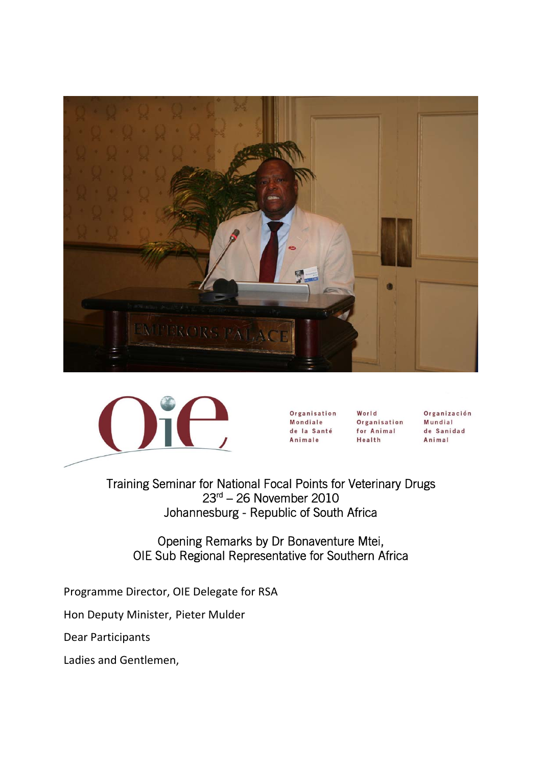



Organisation **Mondiale** de la Santé Animale

World Organisation for Animal Health

Organización Mundial de Sanidad Animal

 Training Seminar for National Focal Points for Veterinary Drugs 23rd – 26 November 2010 Johannesburg - Republic of South Africa

Opening Remarks by Dr Bonaventure Mtei, OIE Sub Regional Representative for Southern Africa

Programme Director, OIE Delegate for RSA

Hon Deputy Minister, Pieter Mulder

Dear Participants

Ladies and Gentlemen,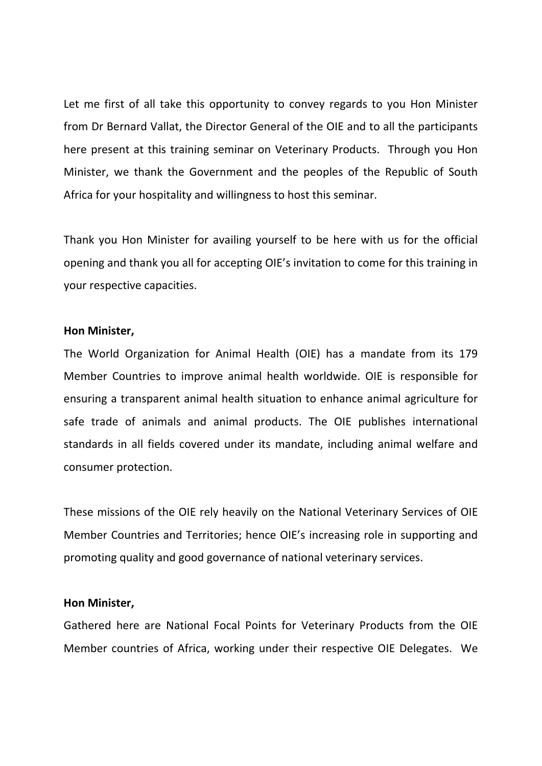Let me first of all take this opportunity to convey regards to you Hon Minister from Dr Bernard Vallat, the Director General of the OIE and to all the participants here present at this training seminar on Veterinary Products. Through you Hon Minister, we thank the Government and the peoples of the Republic of South Africa for your hospitality and willingness to host this seminar.

Thank you Hon Minister for availing yourself to be here with us for the official opening and thank you all for accepting OIE's invitation to come for this training in your respective capacities.

#### **Hon Minister,**

The World Organization for Animal Health (OIE) has a mandate from its 179 Member Countries to improve animal health worldwide. OIE is responsible for ensuring a transparent animal health situation to enhance animal agriculture for safe trade of animals and animal products. The OIE publishes international standards in all fields covered under its mandate, including animal welfare and consumer protection.

These missions of the OIE rely heavily on the National Veterinary Services of OIE Member Countries and Territories; hence OIE's increasing role in supporting and promoting quality and good governance of national veterinary services.

## **Hon Minister,**

Gathered here are National Focal Points for Veterinary Products from the OIE Member countries of Africa, working under their respective OIE Delegates. We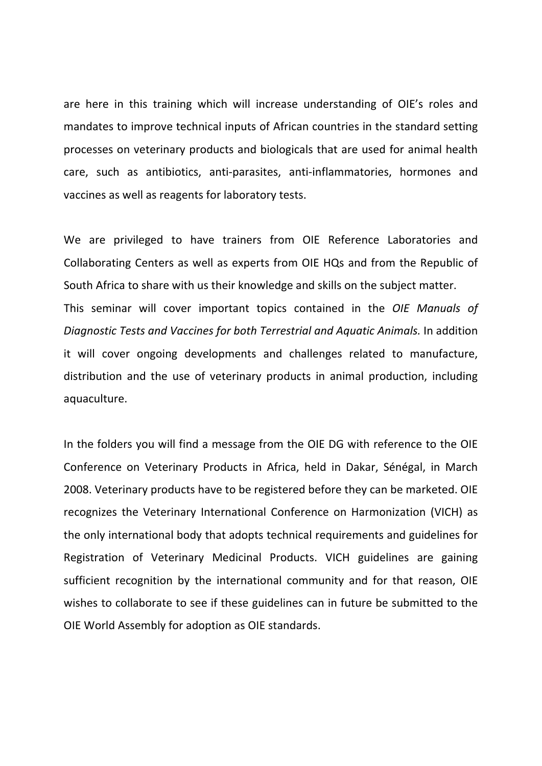are here in this training which will increase understanding of OIE's roles and mandates to improve technical inputs of African countries in the standard setting processes on veterinary products and biologicals that are used for animal health care, such as antibiotics, anti‐parasites, anti‐inflammatories, hormones and vaccines as well as reagents for laboratory tests.

We are privileged to have trainers from OIE Reference Laboratories and Collaborating Centers as well as experts from OIE HQs and from the Republic of South Africa to share with us their knowledge and skills on the subject matter. This seminar will cover important topics contained in the *OIE Manuals of Diagnostic Tests and Vaccines for both Terrestrial and Aquatic Animals.* In addition it will cover ongoing developments and challenges related to manufacture, distribution and the use of veterinary products in animal production, including aquaculture.

In the folders you will find a message from the OIE DG with reference to the OIE Conference on Veterinary Products in Africa, held in Dakar, Sénégal, in March 2008. Veterinary products have to be registered before they can be marketed. OIE recognizes the Veterinary International Conference on Harmonization (VICH) as the only international body that adopts technical requirements and guidelines for Registration of Veterinary Medicinal Products. VICH guidelines are gaining sufficient recognition by the international community and for that reason, OIE wishes to collaborate to see if these guidelines can in future be submitted to the OIE World Assembly for adoption as OIE standards.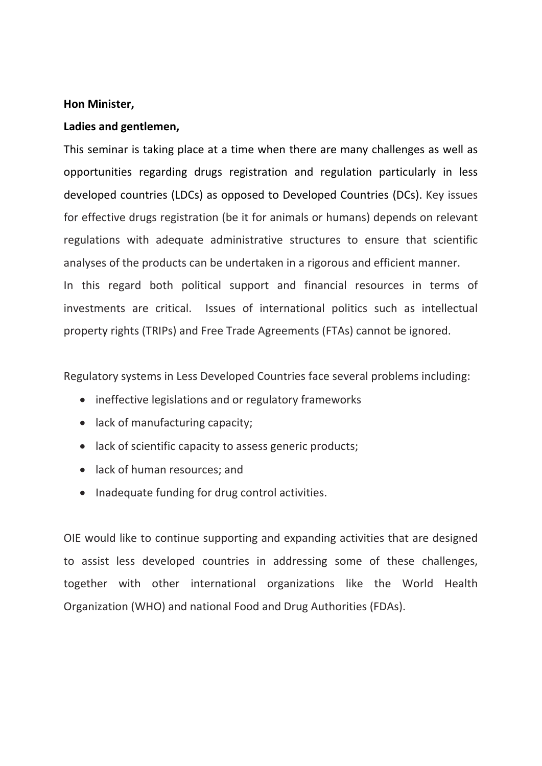### **Hon Minister,**

## **Ladies and gentlemen,**

This seminar is taking place at a time when there are many challenges as well as opportunities regarding drugs registration and regulation particularly in less developed countries (LDCs) as opposed to Developed Countries (DCs). Key issues for effective drugs registration (be it for animals or humans) depends on relevant regulations with adequate administrative structures to ensure that scientific analyses of the products can be undertaken in a rigorous and efficient manner. In this regard both political support and financial resources in terms of investments are critical. Issues of international politics such as intellectual property rights (TRIPs) and Free Trade Agreements (FTAs) cannot be ignored.

Regulatory systems in Less Developed Countries face several problems including:

- ineffective legislations and or regulatory frameworks
- lack of manufacturing capacity;
- lack of scientific capacity to assess generic products;
- lack of human resources; and
- Inadequate funding for drug control activities.

OIE would like to continue supporting and expanding activities that are designed to assist less developed countries in addressing some of these challenges, together with other international organizations like the World Health Organization (WHO) and national Food and Drug Authorities (FDAs).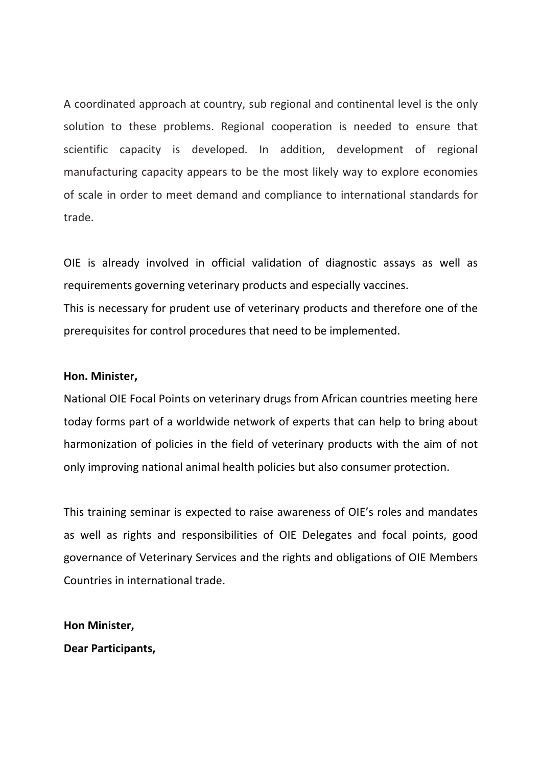A coordinated approach at country, sub regional and continental level is the only solution to these problems. Regional cooperation is needed to ensure that scientific capacity is developed. In addition, development of regional manufacturing capacity appears to be the most likely way to explore economies of scale in order to meet demand and compliance to international standards for trade.

OIE is already involved in official validation of diagnostic assays as well as requirements governing veterinary products and especially vaccines. This is necessary for prudent use of veterinary products and therefore one of the prerequisites for control procedures that need to be implemented.

#### **Hon. Minister,**

National OIE Focal Points on veterinary drugs from African countries meeting here today forms part of a worldwide network of experts that can help to bring about harmonization of policies in the field of veterinary products with the aim of not only improving national animal health policies but also consumer protection.

This training seminar is expected to raise awareness of OIE's roles and mandates as well as rights and responsibilities of OIE Delegates and focal points, good governance of Veterinary Services and the rights and obligations of OIE Members Countries in international trade.

**Hon Minister,**

**Dear Participants,**